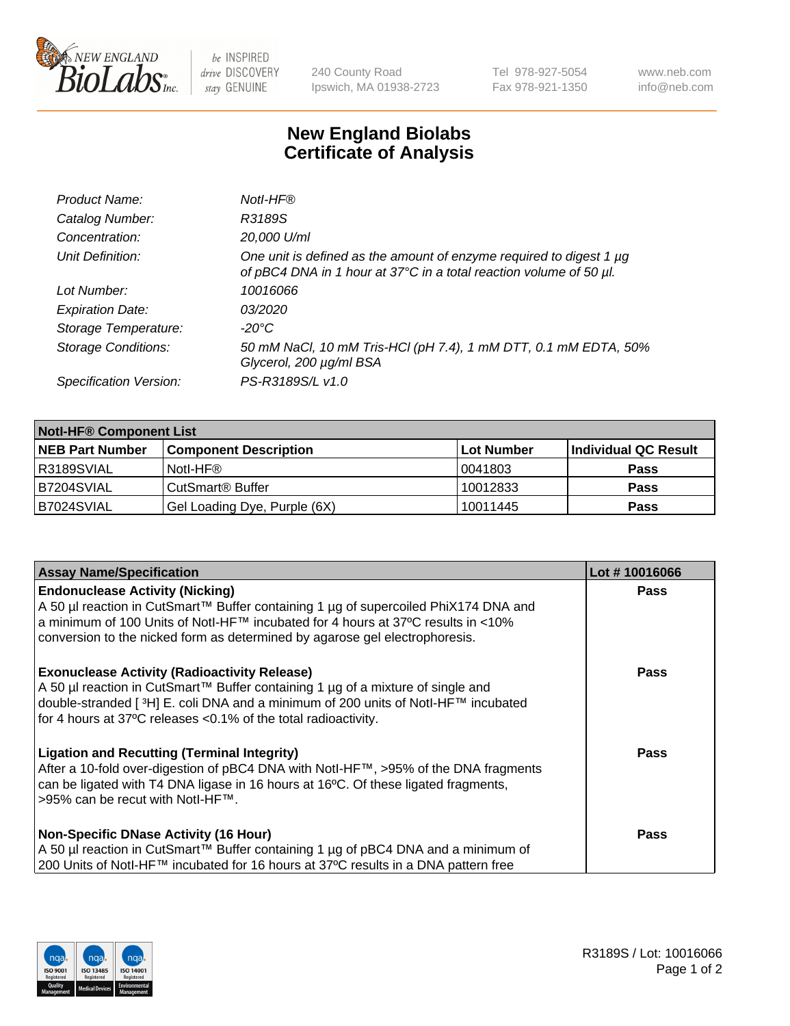

be INSPIRED drive DISCOVERY stay GENUINE

240 County Road Ipswich, MA 01938-2723 Tel 978-927-5054 Fax 978-921-1350 www.neb.com info@neb.com

## **New England Biolabs Certificate of Analysis**

| Product Name:              | Notl-HF®                                                                                                                                  |
|----------------------------|-------------------------------------------------------------------------------------------------------------------------------------------|
| Catalog Number:            | R3189S                                                                                                                                    |
| Concentration:             | 20,000 U/ml                                                                                                                               |
| Unit Definition:           | One unit is defined as the amount of enzyme required to digest 1 µg<br>of pBC4 DNA in 1 hour at 37°C in a total reaction volume of 50 µl. |
| Lot Number:                | 10016066                                                                                                                                  |
| <b>Expiration Date:</b>    | 03/2020                                                                                                                                   |
| Storage Temperature:       | $-20^{\circ}$ C                                                                                                                           |
| <b>Storage Conditions:</b> | 50 mM NaCl, 10 mM Tris-HCl (pH 7.4), 1 mM DTT, 0.1 mM EDTA, 50%<br>Glycerol, 200 µg/ml BSA                                                |
| Specification Version:     | PS-R3189S/L v1.0                                                                                                                          |

| <b>Notl-HF® Component List</b> |                              |            |                      |  |  |
|--------------------------------|------------------------------|------------|----------------------|--|--|
| <b>NEB Part Number</b>         | <b>Component Description</b> | Lot Number | Individual QC Result |  |  |
| R3189SVIAL                     | Notl-HF®                     | 10041803   | <b>Pass</b>          |  |  |
| IB7204SVIAL                    | CutSmart <sup>®</sup> Buffer | 10012833   | <b>Pass</b>          |  |  |
| B7024SVIAL                     | Gel Loading Dye, Purple (6X) | 10011445   | <b>Pass</b>          |  |  |

| <b>Assay Name/Specification</b>                                                                                                                                                                                                                                                                 | Lot #10016066 |
|-------------------------------------------------------------------------------------------------------------------------------------------------------------------------------------------------------------------------------------------------------------------------------------------------|---------------|
| <b>Endonuclease Activity (Nicking)</b><br>  A 50 µl reaction in CutSmart™ Buffer containing 1 µg of supercoiled PhiX174 DNA and                                                                                                                                                                 | <b>Pass</b>   |
| a minimum of 100 Units of Notl-HF™ incubated for 4 hours at 37°C results in <10%<br>conversion to the nicked form as determined by agarose gel electrophoresis.                                                                                                                                 |               |
| <b>Exonuclease Activity (Radioactivity Release)</b><br>  A 50 µl reaction in CutSmart™ Buffer containing 1 µg of a mixture of single and<br>double-stranded [3H] E. coli DNA and a minimum of 200 units of Notl-HF™ incubated<br>for 4 hours at 37°C releases <0.1% of the total radioactivity. | <b>Pass</b>   |
| <b>Ligation and Recutting (Terminal Integrity)</b><br>After a 10-fold over-digestion of pBC4 DNA with Notl-HF™, >95% of the DNA fragments<br>can be ligated with T4 DNA ligase in 16 hours at 16 $\degree$ C. Of these ligated fragments,<br>1>95% can be recut with NotI-HF™.                  | Pass          |
| <b>Non-Specific DNase Activity (16 Hour)</b><br>A 50 µl reaction in CutSmart™ Buffer containing 1 µg of pBC4 DNA and a minimum of<br>200 Units of Notl-HF™ incubated for 16 hours at 37°C results in a DNA pattern free                                                                         | <b>Pass</b>   |